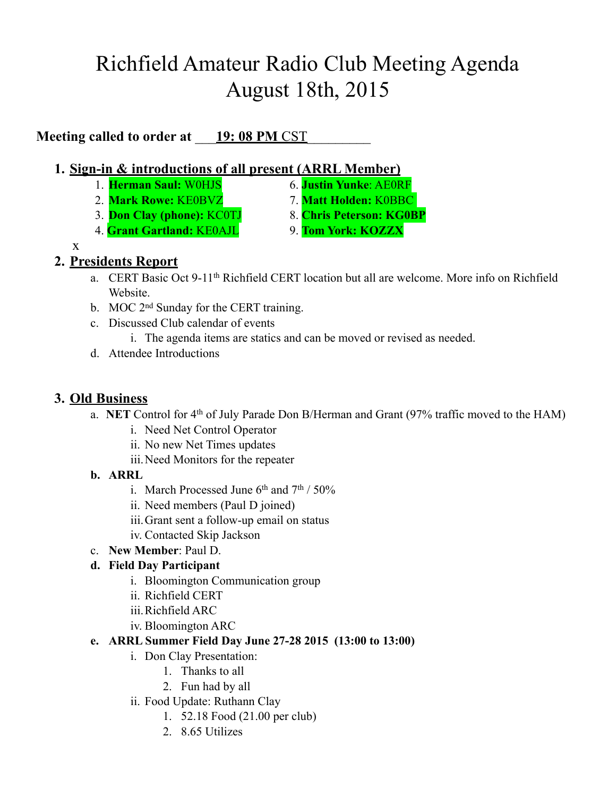# Richfield Amateur Radio Club Meeting Agenda August 18th, 2015

**Meeting called to order at** <u>19: 08 PM CST</u>

### **1. Sign-in & introductions of all present (ARRL Member)**

- 1. **Herman Saul:** W0HJS 6. **Justin Yunke**: AE0RF
- 2. **Mark Rowe:** KE0BVZ 7. **Matt Holden:** K0BBC
- 
- 4. **Grant Gartland:** KE0AJL 9. **Tom York: KOZZX**
- 
- 3. **Don Clay (phone):** KC0TJ 8. **Chris Peterson: KG0BP**
	-

x

## **2. Presidents Report**

- a. CERT Basic Oct 9-11th Richfield CERT location but all are welcome. More info on Richfield **Website**
- b. MOC 2<sup>nd</sup> Sunday for the CERT training.
- c. Discussed Club calendar of events
	- i. The agenda items are statics and can be moved or revised as needed.
- d. Attendee Introductions

## **3. Old Business**

- a. **NET** Control for 4th of July Parade Don B/Herman and Grant (97% traffic moved to the HAM)
	- i. Need Net Control Operator
	- ii. No new Net Times updates
	- iii.Need Monitors for the repeater
- **b. ARRL**
	- i. March Processed June  $6<sup>th</sup>$  and  $7<sup>th</sup> / 50\%$
	- ii. Need members (Paul D joined)
	- iii.Grant sent a follow-up email on status
	- iv. Contacted Skip Jackson
- c. **New Member**: Paul D.

### **d. Field Day Participant**

- i. Bloomington Communication group
- ii. Richfield CERT
- iii.Richfield ARC
- iv. Bloomington ARC

### **e. ARRL Summer Field Day June 27-28 2015 (13:00 to 13:00)**

- i. Don Clay Presentation:
	- 1. Thanks to all
	- 2. Fun had by all
- ii. Food Update: Ruthann Clay
	- 1. 52.18 Food (21.00 per club)
	- 2. 8.65 Utilizes